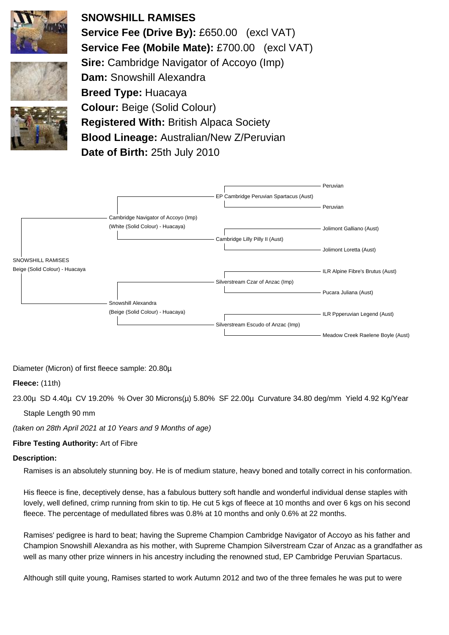

**SNOWSHILL RAMISES Service Fee (Drive By):** £650.00 (excl VAT) **Service Fee (Mobile Mate):** £700.00 (excl VAT) **Sire:** Cambridge Navigator of Accoyo (Imp) **Dam:** Snowshill Alexandra **Breed Type:** Huacaya **Colour:** Beige (Solid Colour) **Registered With:** British Alpaca Society **Blood Lineage:** Australian/New Z/Peruvian

**Date of Birth:** 25th July 2010



Diameter (Micron) of first fleece sample: 20.80µ

## **Fleece:** (11th)

23.00µ SD 4.40µ CV 19.20% % Over 30 Microns(µ) 5.80% SF 22.00µ Curvature 34.80 deg/mm Yield 4.92 Kg/Year

Staple Length 90 mm

(taken on 28th April 2021 at 10 Years and 9 Months of age)

## **Fibre Testing Authority:** Art of Fibre

### **Description:**

Ramises is an absolutely stunning boy. He is of medium stature, heavy boned and totally correct in his conformation.

His fleece is fine, deceptively dense, has a fabulous buttery soft handle and wonderful individual dense staples with lovely, well defined, crimp running from skin to tip. He cut 5 kgs of fleece at 10 months and over 6 kgs on his second fleece. The percentage of medullated fibres was 0.8% at 10 months and only 0.6% at 22 months.

Ramises' pedigree is hard to beat; having the Supreme Champion Cambridge Navigator of Accoyo as his father and Champion Snowshill Alexandra as his mother, with Supreme Champion Silverstream Czar of Anzac as a grandfather as well as many other prize winners in his ancestry including the renowned stud, EP Cambridge Peruvian Spartacus.

Although still quite young, Ramises started to work Autumn 2012 and two of the three females he was put to were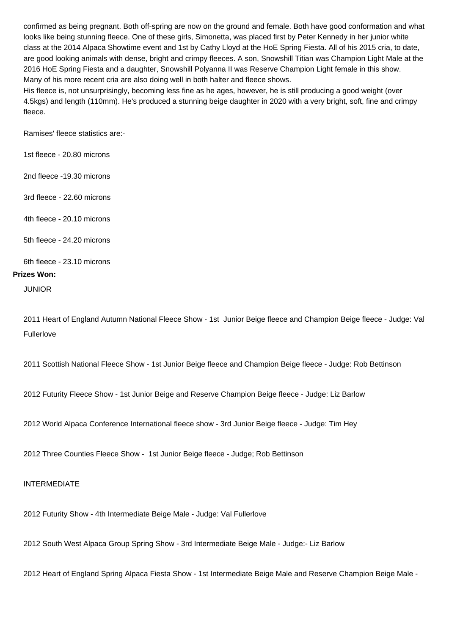confirmed as being pregnant. Both off-spring are now on the ground and female. Both have good conformation and what looks like being stunning fleece. One of these girls, Simonetta, was placed first by Peter Kennedy in her junior white class at the 2014 Alpaca Showtime event and 1st by Cathy Lloyd at the HoE Spring Fiesta. All of his 2015 cria, to date, are good looking animals with dense, bright and crimpy fleeces. A son, Snowshill Titian was Champion Light Male at the 2016 HoE Spring Fiesta and a daughter, Snowshill Polyanna II was Reserve Champion Light female in this show. Many of his more recent cria are also doing well in both halter and fleece shows.

His fleece is, not unsurprisingly, becoming less fine as he ages, however, he is still producing a good weight (over 4.5kgs) and length (110mm). He's produced a stunning beige daughter in 2020 with a very bright, soft, fine and crimpy fleece.

Ramises' fleece statistics are:-

1st fleece - 20.80 microns

2nd fleece -19.30 microns

3rd fleece - 22.60 microns

4th fleece - 20.10 microns

5th fleece - 24.20 microns

#### 6th fleece - 23.10 microns

#### **Prizes Won:**

JUNIOR

2011 Heart of England Autumn National Fleece Show - 1st Junior Beige fleece and Champion Beige fleece - Judge: Val Fullerlove

2011 Scottish National Fleece Show - 1st Junior Beige fleece and Champion Beige fleece - Judge: Rob Bettinson

2012 Futurity Fleece Show - 1st Junior Beige and Reserve Champion Beige fleece - Judge: Liz Barlow

2012 World Alpaca Conference International fleece show - 3rd Junior Beige fleece - Judge: Tim Hey

2012 Three Counties Fleece Show - 1st Junior Beige fleece - Judge; Rob Bettinson

#### INTERMEDIATE

2012 Futurity Show - 4th Intermediate Beige Male - Judge: Val Fullerlove

2012 South West Alpaca Group Spring Show - 3rd Intermediate Beige Male - Judge:- Liz Barlow

2012 Heart of England Spring Alpaca Fiesta Show - 1st Intermediate Beige Male and Reserve Champion Beige Male -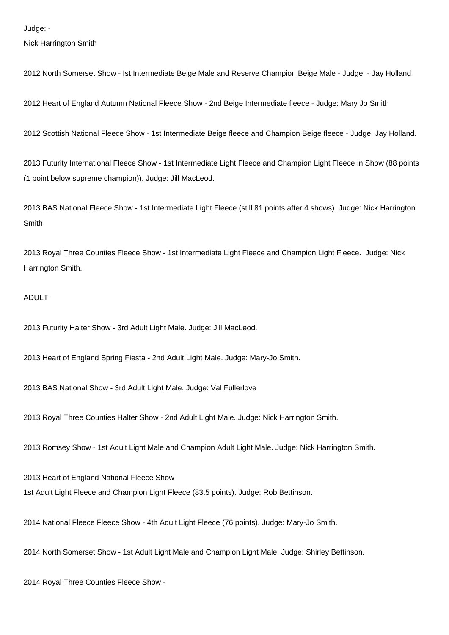Nick Harrington Smith

2012 North Somerset Show - Ist Intermediate Beige Male and Reserve Champion Beige Male - Judge: - Jay Holland

2012 Heart of England Autumn National Fleece Show - 2nd Beige Intermediate fleece - Judge: Mary Jo Smith

2012 Scottish National Fleece Show - 1st Intermediate Beige fleece and Champion Beige fleece - Judge: Jay Holland.

2013 Futurity International Fleece Show - 1st Intermediate Light Fleece and Champion Light Fleece in Show (88 points (1 point below supreme champion)). Judge: Jill MacLeod.

2013 BAS National Fleece Show - 1st Intermediate Light Fleece (still 81 points after 4 shows). Judge: Nick Harrington Smith

2013 Royal Three Counties Fleece Show - 1st Intermediate Light Fleece and Champion Light Fleece. Judge: Nick Harrington Smith.

#### ADULT

2013 Futurity Halter Show - 3rd Adult Light Male. Judge: Jill MacLeod.

2013 Heart of England Spring Fiesta - 2nd Adult Light Male. Judge: Mary-Jo Smith.

2013 BAS National Show - 3rd Adult Light Male. Judge: Val Fullerlove

2013 Royal Three Counties Halter Show - 2nd Adult Light Male. Judge: Nick Harrington Smith.

2013 Romsey Show - 1st Adult Light Male and Champion Adult Light Male. Judge: Nick Harrington Smith.

2013 Heart of England National Fleece Show 1st Adult Light Fleece and Champion Light Fleece (83.5 points). Judge: Rob Bettinson.

2014 National Fleece Fleece Show - 4th Adult Light Fleece (76 points). Judge: Mary-Jo Smith.

2014 North Somerset Show - 1st Adult Light Male and Champion Light Male. Judge: Shirley Bettinson.

2014 Royal Three Counties Fleece Show -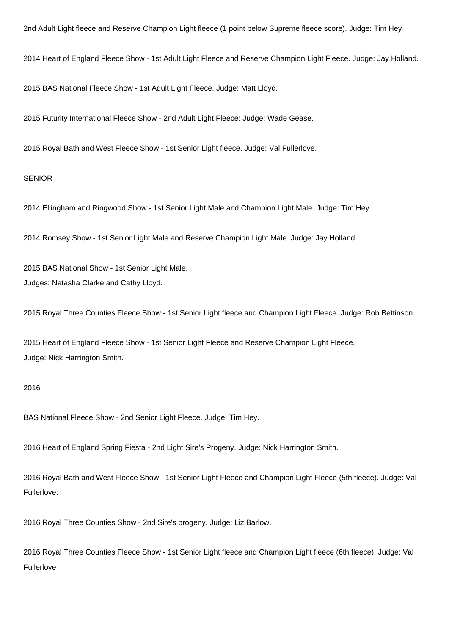2nd Adult Light fleece and Reserve Champion Light fleece (1 point below Supreme fleece score). Judge: Tim Hey

2014 Heart of England Fleece Show - 1st Adult Light Fleece and Reserve Champion Light Fleece. Judge: Jay Holland.

2015 BAS National Fleece Show - 1st Adult Light Fleece. Judge: Matt Lloyd.

2015 Futurity International Fleece Show - 2nd Adult Light Fleece: Judge: Wade Gease.

2015 Royal Bath and West Fleece Show - 1st Senior Light fleece. Judge: Val Fullerlove.

#### **SENIOR**

2014 Ellingham and Ringwood Show - 1st Senior Light Male and Champion Light Male. Judge: Tim Hey.

2014 Romsey Show - 1st Senior Light Male and Reserve Champion Light Male. Judge: Jay Holland.

2015 BAS National Show - 1st Senior Light Male. Judges: Natasha Clarke and Cathy Lloyd.

2015 Royal Three Counties Fleece Show - 1st Senior Light fleece and Champion Light Fleece. Judge: Rob Bettinson.

2015 Heart of England Fleece Show - 1st Senior Light Fleece and Reserve Champion Light Fleece. Judge: Nick Harrington Smith.

#### 2016

BAS National Fleece Show - 2nd Senior Light Fleece. Judge: Tim Hey.

2016 Heart of England Spring Fiesta - 2nd Light Sire's Progeny. Judge: Nick Harrington Smith.

2016 Royal Bath and West Fleece Show - 1st Senior Light Fleece and Champion Light Fleece (5th fleece). Judge: Val Fullerlove.

2016 Royal Three Counties Show - 2nd Sire's progeny. Judge: Liz Barlow.

2016 Royal Three Counties Fleece Show - 1st Senior Light fleece and Champion Light fleece (6th fleece). Judge: Val Fullerlove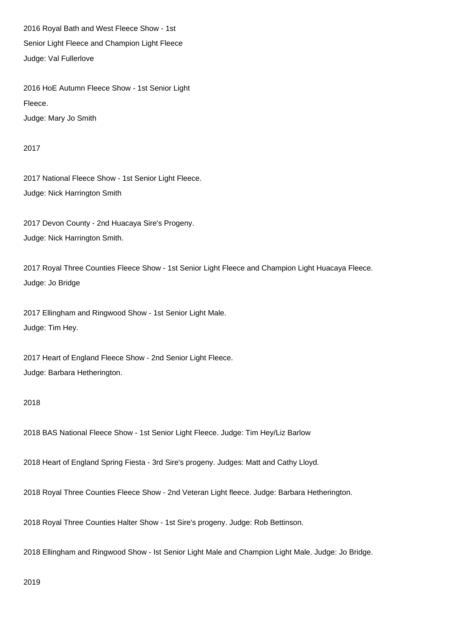2016 Royal Bath and West Fleece Show - 1st Senior Light Fleece and Champion Light Fleece Judge: Val Fullerlove

2016 HoE Autumn Fleece Show - 1st Senior Light Fleece. Judge: Mary Jo Smith

2017

2017 National Fleece Show - 1st Senior Light Fleece. Judge: Nick Harrington Smith

2017 Devon County - 2nd Huacaya Sire's Progeny. Judge: Nick Harrington Smith.

2017 Royal Three Counties Fleece Show - 1st Senior Light Fleece and Champion Light Huacaya Fleece. Judge: Jo Bridge

2017 Ellingham and Ringwood Show - 1st Senior Light Male. Judge: Tim Hey.

2017 Heart of England Fleece Show - 2nd Senior Light Fleece. Judge: Barbara Hetherington.

2018

2018 BAS National Fleece Show - 1st Senior Light Fleece. Judge: Tim Hey/Liz Barlow

2018 Heart of England Spring Fiesta - 3rd Sire's progeny. Judges: Matt and Cathy Lloyd.

2018 Royal Three Counties Fleece Show - 2nd Veteran Light fleece. Judge: Barbara Hetherington.

2018 Royal Three Counties Halter Show - 1st Sire's progeny. Judge: Rob Bettinson.

2018 Ellingham and Ringwood Show - Ist Senior Light Male and Champion Light Male. Judge: Jo Bridge.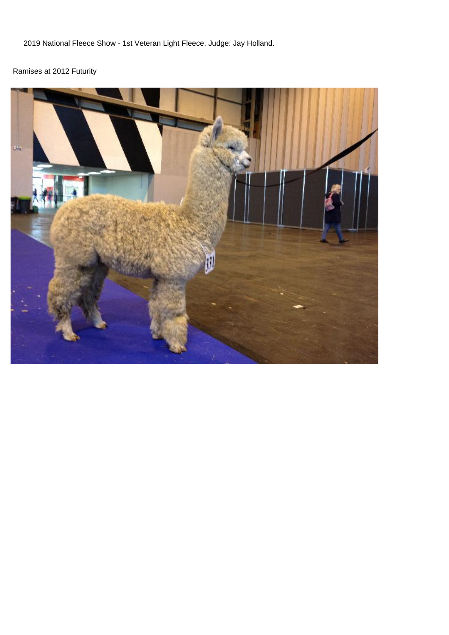2019 National Fleece Show - 1st Veteran Light Fleece. Judge: Jay Holland.

# Ramises at 2012 Futurity